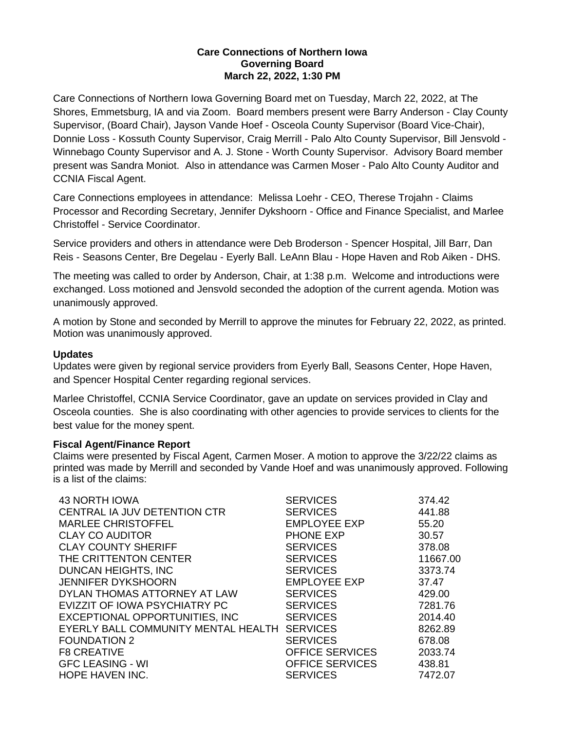## **Care Connections of Northern Iowa Governing Board March 22, 2022, 1:30 PM**

Care Connections of Northern Iowa Governing Board met on Tuesday, March 22, 2022, at The Shores, Emmetsburg, IA and via Zoom. Board members present were Barry Anderson - Clay County Supervisor, (Board Chair), Jayson Vande Hoef - Osceola County Supervisor (Board Vice-Chair), Donnie Loss - Kossuth County Supervisor, Craig Merrill - Palo Alto County Supervisor, Bill Jensvold - Winnebago County Supervisor and A. J. Stone - Worth County Supervisor. Advisory Board member present was Sandra Moniot. Also in attendance was Carmen Moser - Palo Alto County Auditor and CCNIA Fiscal Agent.

Care Connections employees in attendance: Melissa Loehr - CEO, Therese Trojahn - Claims Processor and Recording Secretary, Jennifer Dykshoorn - Office and Finance Specialist, and Marlee Christoffel - Service Coordinator.

Service providers and others in attendance were Deb Broderson - Spencer Hospital, Jill Barr, Dan Reis - Seasons Center, Bre Degelau - Eyerly Ball. LeAnn Blau - Hope Haven and Rob Aiken - DHS.

The meeting was called to order by Anderson, Chair, at 1:38 p.m. Welcome and introductions were exchanged. Loss motioned and Jensvold seconded the adoption of the current agenda. Motion was unanimously approved.

A motion by Stone and seconded by Merrill to approve the minutes for February 22, 2022, as printed. Motion was unanimously approved.

# **Updates**

Updates were given by regional service providers from Eyerly Ball, Seasons Center, Hope Haven, and Spencer Hospital Center regarding regional services.

Marlee Christoffel, CCNIA Service Coordinator, gave an update on services provided in Clay and Osceola counties. She is also coordinating with other agencies to provide services to clients for the best value for the money spent.

# **Fiscal Agent/Finance Report**

Claims were presented by Fiscal Agent, Carmen Moser. A motion to approve the 3/22/22 claims as printed was made by Merrill and seconded by Vande Hoef and was unanimously approved. Following is a list of the claims:

| 43 NORTH IOWA                       | <b>SERVICES</b>        | 374.42   |
|-------------------------------------|------------------------|----------|
| CENTRAL IA JUV DETENTION CTR        | <b>SERVICES</b>        | 441.88   |
| <b>MARLEE CHRISTOFFEL</b>           | <b>EMPLOYEE EXP</b>    | 55.20    |
| <b>CLAY CO AUDITOR</b>              | <b>PHONE EXP</b>       | 30.57    |
| <b>CLAY COUNTY SHERIFF</b>          | <b>SERVICES</b>        | 378.08   |
| THE CRITTENTON CENTER               | <b>SERVICES</b>        | 11667.00 |
| DUNCAN HEIGHTS, INC                 | <b>SERVICES</b>        | 3373.74  |
| <b>JENNIFER DYKSHOORN</b>           | <b>EMPLOYEE EXP</b>    | 37.47    |
| DYLAN THOMAS ATTORNEY AT LAW        | <b>SERVICES</b>        | 429.00   |
| EVIZZIT OF IOWA PSYCHIATRY PC       | <b>SERVICES</b>        | 7281.76  |
| EXCEPTIONAL OPPORTUNITIES, INC      | <b>SERVICES</b>        | 2014.40  |
| EYERLY BALL COMMUNITY MENTAL HEALTH | <b>SERVICES</b>        | 8262.89  |
| <b>FOUNDATION 2</b>                 | <b>SERVICES</b>        | 678.08   |
| <b>F8 CREATIVE</b>                  | <b>OFFICE SERVICES</b> | 2033.74  |
| <b>GFC LEASING - WI</b>             | <b>OFFICE SERVICES</b> | 438.81   |
| <b>HOPE HAVEN INC.</b>              | <b>SERVICES</b>        | 7472.07  |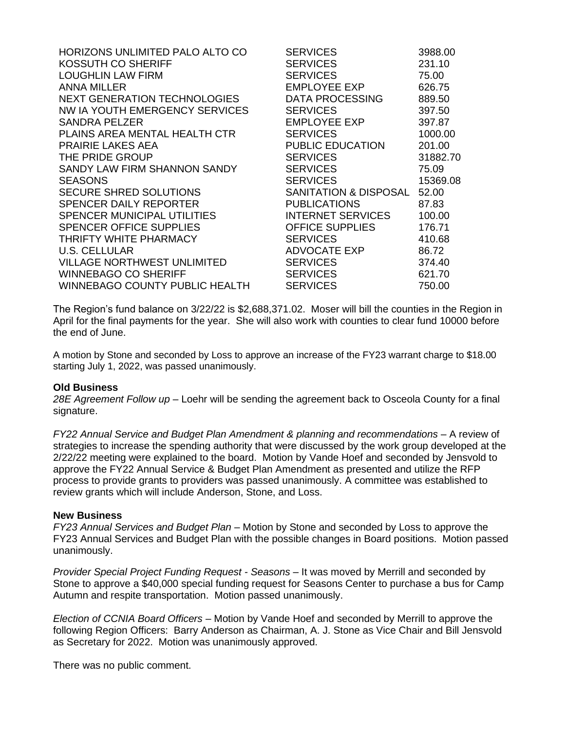| <b>HORIZONS UNLIMITED PALO ALTO CO</b> | <b>SERVICES</b>          | 3988.00  |
|----------------------------------------|--------------------------|----------|
| KOSSUTH CO SHERIFF                     | <b>SERVICES</b>          | 231.10   |
| <b>LOUGHLIN LAW FIRM</b>               | <b>SERVICES</b>          | 75.00    |
| <b>ANNA MILLER</b>                     | <b>EMPLOYEE EXP</b>      | 626.75   |
| <b>NEXT GENERATION TECHNOLOGIES</b>    | <b>DATA PROCESSING</b>   | 889.50   |
| NW IA YOUTH EMERGENCY SERVICES         | <b>SERVICES</b>          | 397.50   |
| SANDRA PELZER                          | <b>EMPLOYEE EXP</b>      | 397.87   |
| PLAINS AREA MENTAL HEALTH CTR          | <b>SERVICES</b>          | 1000.00  |
| <b>PRAIRIE LAKES AEA</b>               | <b>PUBLIC EDUCATION</b>  | 201.00   |
| THE PRIDE GROUP                        | <b>SERVICES</b>          | 31882.70 |
| SANDY LAW FIRM SHANNON SANDY           | <b>SERVICES</b>          | 75.09    |
| <b>SEASONS</b>                         | <b>SERVICES</b>          | 15369.08 |
| <b>SECURE SHRED SOLUTIONS</b>          | SANITATION & DISPOSAL    | 52.00    |
| <b>SPENCER DAILY REPORTER</b>          | <b>PUBLICATIONS</b>      | 87.83    |
| SPENCER MUNICIPAL UTILITIES            | <b>INTERNET SERVICES</b> | 100.00   |
| <b>SPENCER OFFICE SUPPLIES</b>         | <b>OFFICE SUPPLIES</b>   | 176.71   |
| THRIFTY WHITE PHARMACY                 | <b>SERVICES</b>          | 410.68   |
| U.S. CELLULAR                          | ADVOCATE EXP             | 86.72    |
| VILLAGE NORTHWEST UNLIMITED            | <b>SERVICES</b>          | 374.40   |
| <b>WINNEBAGO CO SHERIFF</b>            | <b>SERVICES</b>          | 621.70   |
| <b>WINNEBAGO COUNTY PUBLIC HEALTH</b>  | <b>SERVICES</b>          | 750.00   |

The Region's fund balance on 3/22/22 is \$2,688,371.02. Moser will bill the counties in the Region in April for the final payments for the year. She will also work with counties to clear fund 10000 before the end of June.

A motion by Stone and seconded by Loss to approve an increase of the FY23 warrant charge to \$18.00 starting July 1, 2022, was passed unanimously.

### **Old Business**

*28E Agreement Follow up* – Loehr will be sending the agreement back to Osceola County for a final signature.

*FY22 Annual Service and Budget Plan Amendment & planning and recommendations* – A review of strategies to increase the spending authority that were discussed by the work group developed at the 2/22/22 meeting were explained to the board. Motion by Vande Hoef and seconded by Jensvold to approve the FY22 Annual Service & Budget Plan Amendment as presented and utilize the RFP process to provide grants to providers was passed unanimously. A committee was established to review grants which will include Anderson, Stone, and Loss.

### **New Business**

*FY23 Annual Services and Budget Plan* – Motion by Stone and seconded by Loss to approve the FY23 Annual Services and Budget Plan with the possible changes in Board positions. Motion passed unanimously.

*Provider Special Project Funding Request - Seasons* – It was moved by Merrill and seconded by Stone to approve a \$40,000 special funding request for Seasons Center to purchase a bus for Camp Autumn and respite transportation. Motion passed unanimously.

*Election of CCNIA Board Officers* – Motion by Vande Hoef and seconded by Merrill to approve the following Region Officers: Barry Anderson as Chairman, A. J. Stone as Vice Chair and Bill Jensvold as Secretary for 2022. Motion was unanimously approved.

There was no public comment.